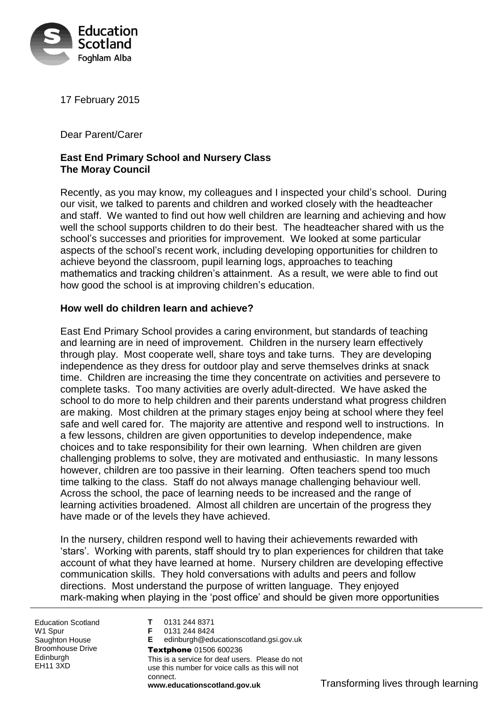

17 February 2015

Dear Parent/Carer

# **East End Primary School and Nursery Class The Moray Council**

Recently, as you may know, my colleagues and I inspected your child's school. During our visit, we talked to parents and children and worked closely with the headteacher and staff. We wanted to find out how well children are learning and achieving and how well the school supports children to do their best. The headteacher shared with us the school's successes and priorities for improvement. We looked at some particular aspects of the school's recent work, including developing opportunities for children to achieve beyond the classroom, pupil learning logs, approaches to teaching mathematics and tracking children's attainment. As a result, we were able to find out how good the school is at improving children's education.

### **How well do children learn and achieve?**

East End Primary School provides a caring environment, but standards of teaching and learning are in need of improvement. Children in the nursery learn effectively through play. Most cooperate well, share toys and take turns. They are developing independence as they dress for outdoor play and serve themselves drinks at snack time. Children are increasing the time they concentrate on activities and persevere to complete tasks. Too many activities are overly adult-directed. We have asked the school to do more to help children and their parents understand what progress children are making. Most children at the primary stages enjoy being at school where they feel safe and well cared for. The majority are attentive and respond well to instructions. In a few lessons, children are given opportunities to develop independence, make choices and to take responsibility for their own learning. When children are given challenging problems to solve, they are motivated and enthusiastic. In many lessons however, children are too passive in their learning. Often teachers spend too much time talking to the class. Staff do not always manage challenging behaviour well. Across the school, the pace of learning needs to be increased and the range of learning activities broadened. Almost all children are uncertain of the progress they have made or of the levels they have achieved.

In the nursery, children respond well to having their achievements rewarded with 'stars'. Working with parents, staff should try to plan experiences for children that take account of what they have learned at home. Nursery children are developing effective communication skills. They hold conversations with adults and peers and follow directions. Most understand the purpose of written language. They enjoyed mark-making when playing in the 'post office' and should be given more opportunities

Education Scotland W<sub>1</sub> Spur Saughton House Broomhouse Drive **Edinburgh** EH11 3XD

**T** 0131 244 8371 **F** 0131 244 8424 **E** edinburgh@educationscotland.gsi.gov.uk Textphone 01506 600236 This is a service for deaf users. Please do not use this number for voice calls as this will not connect.

**www.educationscotland.gov.uk** Transforming lives through learning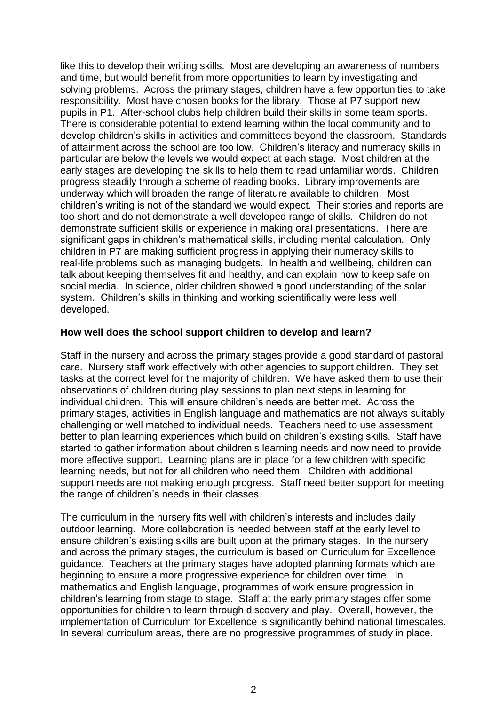like this to develop their writing skills. Most are developing an awareness of numbers and time, but would benefit from more opportunities to learn by investigating and solving problems. Across the primary stages, children have a few opportunities to take responsibility. Most have chosen books for the library. Those at P7 support new pupils in P1. After-school clubs help children build their skills in some team sports. There is considerable potential to extend learning within the local community and to develop children's skills in activities and committees beyond the classroom. Standards of attainment across the school are too low. Children's literacy and numeracy skills in particular are below the levels we would expect at each stage. Most children at the early stages are developing the skills to help them to read unfamiliar words. Children progress steadily through a scheme of reading books. Library improvements are underway which will broaden the range of literature available to children. Most children's writing is not of the standard we would expect. Their stories and reports are too short and do not demonstrate a well developed range of skills. Children do not demonstrate sufficient skills or experience in making oral presentations. There are significant gaps in children's mathematical skills, including mental calculation. Only children in P7 are making sufficient progress in applying their numeracy skills to real-life problems such as managing budgets. In health and wellbeing, children can talk about keeping themselves fit and healthy, and can explain how to keep safe on social media. In science, older children showed a good understanding of the solar system. Children's skills in thinking and working scientifically were less well developed.

#### **How well does the school support children to develop and learn?**

Staff in the nursery and across the primary stages provide a good standard of pastoral care. Nursery staff work effectively with other agencies to support children. They set tasks at the correct level for the majority of children. We have asked them to use their observations of children during play sessions to plan next steps in learning for individual children. This will ensure children's needs are better met. Across the primary stages, activities in English language and mathematics are not always suitably challenging or well matched to individual needs. Teachers need to use assessment better to plan learning experiences which build on children's existing skills. Staff have started to gather information about children's learning needs and now need to provide more effective support. Learning plans are in place for a few children with specific learning needs, but not for all children who need them. Children with additional support needs are not making enough progress. Staff need better support for meeting the range of children's needs in their classes.

The curriculum in the nursery fits well with children's interests and includes daily outdoor learning. More collaboration is needed between staff at the early level to ensure children's existing skills are built upon at the primary stages. In the nursery and across the primary stages, the curriculum is based on Curriculum for Excellence guidance. Teachers at the primary stages have adopted planning formats which are beginning to ensure a more progressive experience for children over time. In mathematics and English language, programmes of work ensure progression in children's learning from stage to stage. Staff at the early primary stages offer some opportunities for children to learn through discovery and play. Overall, however, the implementation of Curriculum for Excellence is significantly behind national timescales. In several curriculum areas, there are no progressive programmes of study in place.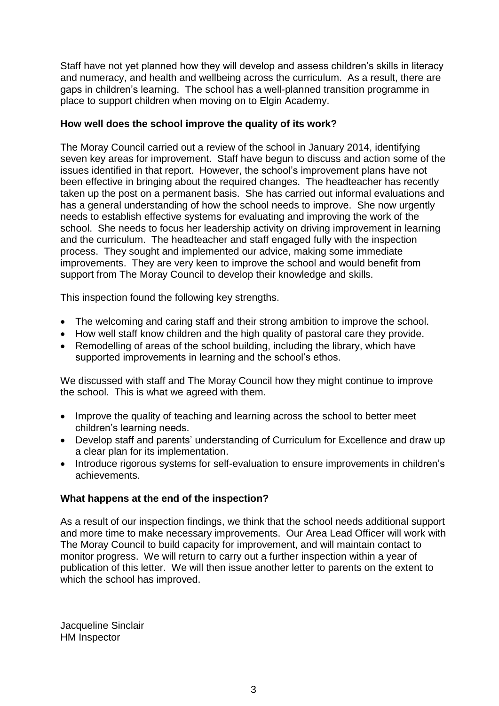Staff have not yet planned how they will develop and assess children's skills in literacy and numeracy, and health and wellbeing across the curriculum. As a result, there are gaps in children's learning. The school has a well-planned transition programme in place to support children when moving on to Elgin Academy.

### **How well does the school improve the quality of its work?**

The Moray Council carried out a review of the school in January 2014, identifying seven key areas for improvement. Staff have begun to discuss and action some of the issues identified in that report. However, the school's improvement plans have not been effective in bringing about the required changes. The headteacher has recently taken up the post on a permanent basis. She has carried out informal evaluations and has a general understanding of how the school needs to improve. She now urgently needs to establish effective systems for evaluating and improving the work of the school. She needs to focus her leadership activity on driving improvement in learning and the curriculum. The headteacher and staff engaged fully with the inspection process. They sought and implemented our advice, making some immediate improvements. They are very keen to improve the school and would benefit from support from The Moray Council to develop their knowledge and skills.

This inspection found the following key strengths.

- The welcoming and caring staff and their strong ambition to improve the school.
- How well staff know children and the high quality of pastoral care they provide.
- Remodelling of areas of the school building, including the library, which have supported improvements in learning and the school's ethos.

We discussed with staff and The Moray Council how they might continue to improve the school. This is what we agreed with them.

- Improve the quality of teaching and learning across the school to better meet children's learning needs.
- Develop staff and parents' understanding of Curriculum for Excellence and draw up a clear plan for its implementation.
- Introduce rigorous systems for self-evaluation to ensure improvements in children's achievements.

# **What happens at the end of the inspection?**

As a result of our inspection findings, we think that the school needs additional support and more time to make necessary improvements. Our Area Lead Officer will work with The Moray Council to build capacity for improvement, and will maintain contact to monitor progress. We will return to carry out a further inspection within a year of publication of this letter. We will then issue another letter to parents on the extent to which the school has improved.

Jacqueline Sinclair HM Inspector